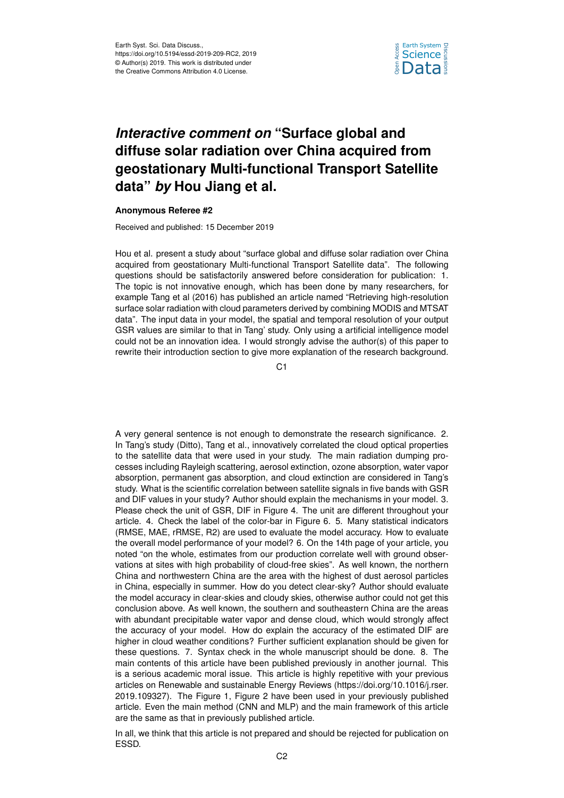

## *Interactive comment on* **"Surface global and diffuse solar radiation over China acquired from geostationary Multi-functional Transport Satellite data"** *by* **Hou Jiang et al.**

## **Anonymous Referee #2**

Received and published: 15 December 2019

Hou et al. present a study about "surface global and diffuse solar radiation over China acquired from geostationary Multi-functional Transport Satellite data". The following questions should be satisfactorily answered before consideration for publication: 1. The topic is not innovative enough, which has been done by many researchers, for example Tang et al (2016) has published an article named "Retrieving high-resolution surface solar radiation with cloud parameters derived by combining MODIS and MTSAT data". The input data in your model, the spatial and temporal resolution of your output GSR values are similar to that in Tang' study. Only using a artificial intelligence model could not be an innovation idea. I would strongly advise the author(s) of this paper to rewrite their introduction section to give more explanation of the research background.

C1

A very general sentence is not enough to demonstrate the research significance. 2. In Tang's study (Ditto), Tang et al., innovatively correlated the cloud optical properties to the satellite data that were used in your study. The main radiation dumping processes including Rayleigh scattering, aerosol extinction, ozone absorption, water vapor absorption, permanent gas absorption, and cloud extinction are considered in Tang's study. What is the scientific correlation between satellite signals in five bands with GSR and DIF values in your study? Author should explain the mechanisms in your model. 3. Please check the unit of GSR, DIF in Figure 4. The unit are different throughout your article. 4. Check the label of the color-bar in Figure 6. 5. Many statistical indicators (RMSE, MAE, rRMSE, R2) are used to evaluate the model accuracy. How to evaluate the overall model performance of your model? 6. On the 14th page of your article, you noted "on the whole, estimates from our production correlate well with ground observations at sites with high probability of cloud-free skies". As well known, the northern China and northwestern China are the area with the highest of dust aerosol particles in China, especially in summer. How do you detect clear-sky? Author should evaluate the model accuracy in clear-skies and cloudy skies, otherwise author could not get this conclusion above. As well known, the southern and southeastern China are the areas with abundant precipitable water vapor and dense cloud, which would strongly affect the accuracy of your model. How do explain the accuracy of the estimated DIF are higher in cloud weather conditions? Further sufficient explanation should be given for these questions. 7. Syntax check in the whole manuscript should be done. 8. The main contents of this article have been published previously in another journal. This is a serious academic moral issue. This article is highly repetitive with your previous articles on Renewable and sustainable Energy Reviews (https://doi.org/10.1016/j.rser. 2019.109327). The Figure 1, Figure 2 have been used in your previously published article. Even the main method (CNN and MLP) and the main framework of this article are the same as that in previously published article.

In all, we think that this article is not prepared and should be rejected for publication on ESSD.